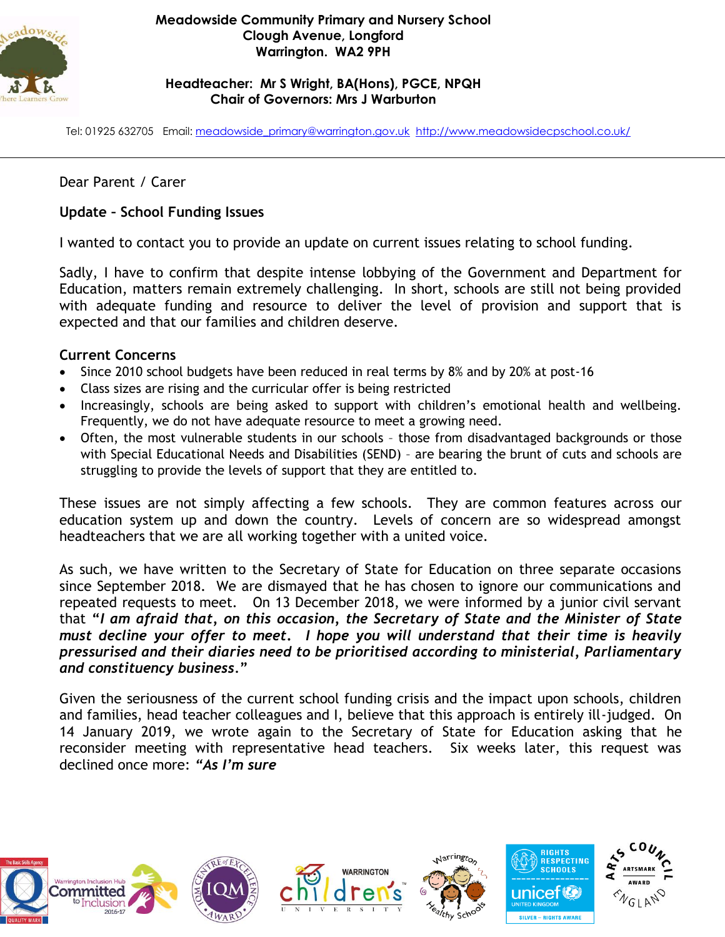

### **Meadowside Community Primary and Nursery School Clough Avenue, Longford Warrington. WA2 9PH**

### **Headteacher: Mr S Wright, BA(Hons), PGCE, NPQH Chair of Governors: Mrs J Warburton**

Tel: 01925 632705 Email: [meadowside\\_primary@warrington.gov.uk](mailto:meadowside_primary@warrington.gov.uk) <http://www.meadowsidecpschool.co.uk/>

# Dear Parent / Carer

## **Update – School Funding Issues**

I wanted to contact you to provide an update on current issues relating to school funding.

Sadly, I have to confirm that despite intense lobbying of the Government and Department for Education, matters remain extremely challenging. In short, schools are still not being provided with adequate funding and resource to deliver the level of provision and support that is expected and that our families and children deserve.

### **Current Concerns**

- Since 2010 school budgets have been reduced in real terms by 8% and by 20% at post-16
- Class sizes are rising and the curricular offer is being restricted
- Increasingly, schools are being asked to support with children's emotional health and wellbeing. Frequently, we do not have adequate resource to meet a growing need.
- Often, the most vulnerable students in our schools those from disadvantaged backgrounds or those with Special Educational Needs and Disabilities (SEND) – are bearing the brunt of cuts and schools are struggling to provide the levels of support that they are entitled to.

These issues are not simply affecting a few schools. They are common features across our education system up and down the country. Levels of concern are so widespread amongst headteachers that we are all working together with a united voice.

As such, we have written to the Secretary of State for Education on three separate occasions since September 2018. We are dismayed that he has chosen to ignore our communications and repeated requests to meet. On 13 December 2018, we were informed by a junior civil servant that **"***I am afraid that, on this occasion, the Secretary of State and the Minister of State must decline your offer to meet***.** *I hope you will understand that their time is heavily pressurised and their diaries need to be prioritised according to ministerial, Parliamentary and constituency business.***"**

Given the seriousness of the current school funding crisis and the impact upon schools, children and families, head teacher colleagues and I, believe that this approach is entirely ill-judged. On 14 January 2019, we wrote again to the Secretary of State for Education asking that he reconsider meeting with representative head teachers. Six weeks later, this request was declined once more: *"As I'm sure*